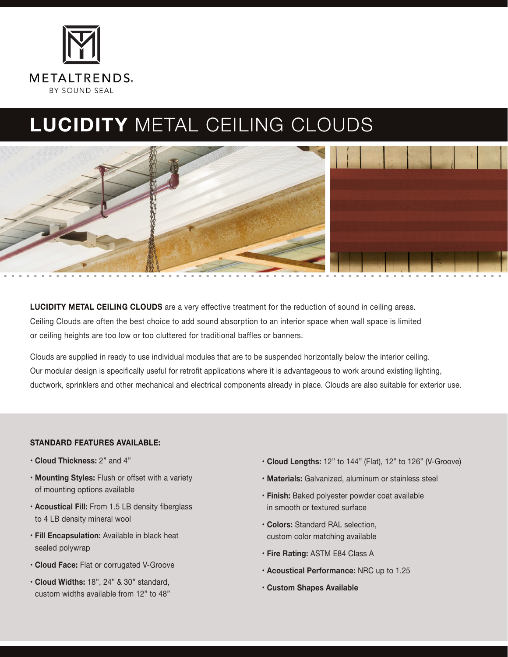

# **LUCIDITY** METAL CEILING CLOUDS



**LUCIDITY METAL CEILING CLOUDS** are a very effective treatment for the reduction of sound in ceiling areas. Ceiling Clouds are often the best choice to add sound absorption to an interior space when wall space is limited or ceiling heights are too low or too cluttered for traditional baffles or banners.

Clouds are supplied in ready to use individual modules that are to be suspended horizontally below the interior ceiling. Our modular design is specifically useful for retrofit applications where it is advantageous to work around existing lighting, ductwork, sprinklers and other mechanical and electrical components already in place. Clouds are also suitable for exterior use.

#### **STANDARD FEATURES AVAILABLE:**

- **Cloud Thickness:** 2" and 4"
- **Mounting Styles:** Flush or offset with a variety of mounting options available
- **Acoustical Fill:** From 1.5 LB density fiberglass to 4 LB density mineral wool
- **Fill Encapsulation:** Available in black heat sealed polywrap
- **Cloud Face:** Flat or corrugated V-Groove
- **Cloud Widths:** 18", 24" & 30" standard, custom widths available from 12" to 48"
- **Cloud Lengths:** 12" to 144" (Flat), 12" to 126" (V-Groove)
- **Materials:** Galvanized, aluminum or stainless steel
- **Finish:** Baked polyester powder coat available in smooth or textured surface
- **Colors:** Standard RAL selection, custom color matching available
- **Fire Rating:** ASTM E84 Class A
- **Acoustical Performance:** NRC up to 1.25
- **Custom Shapes Available**